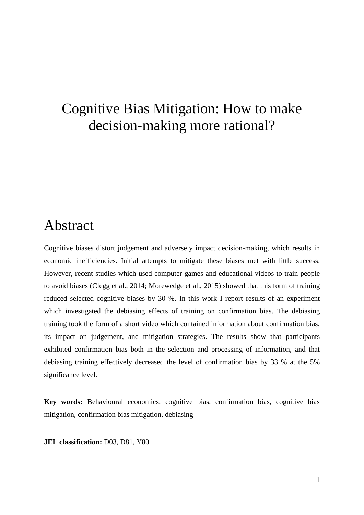# Cognitive Bias Mitigation: How to make decision-making more rational?

## Abstract

Cognitive biases distort judgement and adversely impact decision-making, which results in economic inefficiencies. Initial attempts to mitigate these biases met with little success. However, recent studies which used computer games and educational videos to train people to avoid biases (Clegg et al., 2014; Morewedge et al., 2015) showed that this form of training reduced selected cognitive biases by 30 %. In this work I report results of an experiment which investigated the debiasing effects of training on confirmation bias. The debiasing training took the form of a short video which contained information about confirmation bias, its impact on judgement, and mitigation strategies. The results show that participants exhibited confirmation bias both in the selection and processing of information, and that debiasing training effectively decreased the level of confirmation bias by 33 % at the 5% significance level.

**Key words:** Behavioural economics, cognitive bias, confirmation bias, cognitive bias mitigation, confirmation bias mitigation, debiasing

**JEL classification:** D03, D81, Y80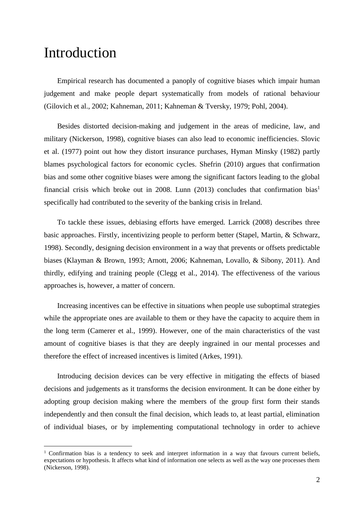## Introduction

<u>.</u>

Empirical research has documented a panoply of cognitive biases which impair human judgement and make people depart systematically from models of rational behaviour (Gilovich et al., 2002; Kahneman, 2011; Kahneman & Tversky, 1979; Pohl, 2004).

Besides distorted decision-making and judgement in the areas of medicine, law, and military (Nickerson, 1998), cognitive biases can also lead to economic inefficiencies. Slovic et al. (1977) point out how they distort insurance purchases, Hyman Minsky (1982) partly blames psychological factors for economic cycles. Shefrin (2010) argues that confirmation bias and some other cognitive biases were among the significant factors leading to the global financial crisis which broke out in 2008. Lunn (2013) concludes that confirmation bias<sup>1</sup> specifically had contributed to the severity of the banking crisis in Ireland.

To tackle these issues, debiasing efforts have emerged. Larrick (2008) describes three basic approaches. Firstly, incentivizing people to perform better (Stapel, Martin, & Schwarz, 1998). Secondly, designing decision environment in a way that prevents or offsets predictable biases (Klayman & Brown, 1993; Arnott, 2006; Kahneman, Lovallo, & Sibony, 2011). And thirdly, edifying and training people (Clegg et al., 2014). The effectiveness of the various approaches is, however, a matter of concern.

Increasing incentives can be effective in situations when people use suboptimal strategies while the appropriate ones are available to them or they have the capacity to acquire them in the long term (Camerer et al., 1999). However, one of the main characteristics of the vast amount of cognitive biases is that they are deeply ingrained in our mental processes and therefore the effect of increased incentives is limited (Arkes, 1991).

Introducing decision devices can be very effective in mitigating the effects of biased decisions and judgements as it transforms the decision environment. It can be done either by adopting group decision making where the members of the group first form their stands independently and then consult the final decision, which leads to, at least partial, elimination of individual biases, or by implementing computational technology in order to achieve

<sup>&</sup>lt;sup>1</sup> Confirmation bias is a tendency to seek and interpret information in a way that favours current beliefs, expectations or hypothesis. It affects what kind of information one selects as well as the way one processes them (Nickerson, 1998).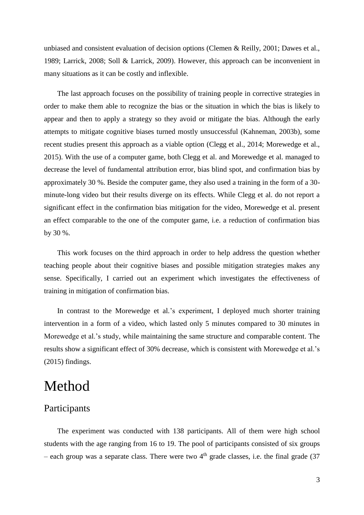unbiased and consistent evaluation of decision options (Clemen & Reilly, 2001; Dawes et al., 1989; Larrick, 2008; Soll & Larrick, 2009). However, this approach can be inconvenient in many situations as it can be costly and inflexible.

The last approach focuses on the possibility of training people in corrective strategies in order to make them able to recognize the bias or the situation in which the bias is likely to appear and then to apply a strategy so they avoid or mitigate the bias. Although the early attempts to mitigate cognitive biases turned mostly unsuccessful (Kahneman, 2003b), some recent studies present this approach as a viable option (Clegg et al., 2014; Morewedge et al., 2015). With the use of a computer game, both Clegg et al. and Morewedge et al. managed to decrease the level of fundamental attribution error, bias blind spot, and confirmation bias by approximately 30 %. Beside the computer game, they also used a training in the form of a 30 minute-long video but their results diverge on its effects. While Clegg et al. do not report a significant effect in the confirmation bias mitigation for the video, Morewedge et al. present an effect comparable to the one of the computer game, i.e. a reduction of confirmation bias by 30 %.

This work focuses on the third approach in order to help address the question whether teaching people about their cognitive biases and possible mitigation strategies makes any sense. Specifically, I carried out an experiment which investigates the effectiveness of training in mitigation of confirmation bias.

In contrast to the Morewedge et al.'s experiment, I deployed much shorter training intervention in a form of a video, which lasted only 5 minutes compared to 30 minutes in Morewedge et al.'s study, while maintaining the same structure and comparable content. The results show a significant effect of 30% decrease, which is consistent with Morewedge et al.'s (2015) findings.

## Method

## Participants

The experiment was conducted with 138 participants. All of them were high school students with the age ranging from 16 to 19. The pool of participants consisted of six groups – each group was a separate class. There were two  $4<sup>th</sup>$  grade classes, i.e. the final grade (37)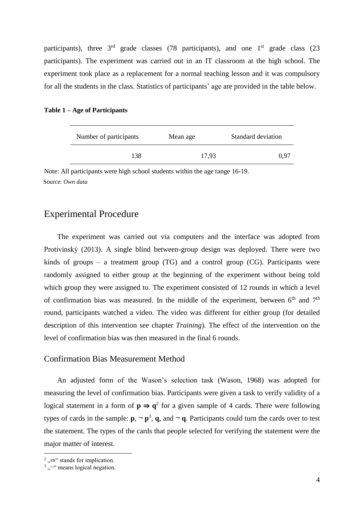participants), three  $3<sup>rd</sup>$  grade classes (78 participants), and one  $1<sup>st</sup>$  grade class (23 participants). The experiment was carried out in an IT classroom at the high school. The experiment took place as a replacement for a normal teaching lesson and it was compulsory for all the students in the class. Statistics of participants' age are provided in the table below.

|  | Table 1 – Age of Participants |  |
|--|-------------------------------|--|
|--|-------------------------------|--|

| Number of participants | Mean age | Standard deviation |
|------------------------|----------|--------------------|
| 138                    | 17.93    | 0.97               |

Source: *Own data* Note: All participants were high school students within the age range 16-19.

### Experimental Procedure

The experiment was carried out via computers and the interface was adopted from Protivínský (2013). A single blind between-group design was deployed. There were two kinds of groups – a treatment group (TG) and a control group (CG). Participants were randomly assigned to either group at the beginning of the experiment without being told which group they were assigned to. The experiment consisted of 12 rounds in which a level of confirmation bias was measured. In the middle of the experiment, between  $6<sup>th</sup>$  and  $7<sup>th</sup>$ round, participants watched a video. The video was different for either group (for detailed description of this intervention see chapter *Training*). The effect of the intervention on the level of confirmation bias was then measured in the final 6 rounds.

#### Confirmation Bias Measurement Method

An adjusted form of the Wason's selection task (Wason, 1968) was adopted for measuring the level of confirmation bias. Participants were given a task to verify validity of a logical statement in a form of  $p \Rightarrow q^2$  for a given sample of 4 cards. There were following types of cards in the sample:  $\mathbf{p}, \neg \mathbf{p}^3$ ,  $\mathbf{q}$ , and  $\neg \mathbf{q}$ . Participants could turn the cards over to test the statement. The types of the cards that people selected for verifying the statement were the major matter of interest.

1

<sup>&</sup>lt;sup>2</sup>,,⇒" stands for implication.

 $\frac{3}{2}$ ,<sup>-"</sup> means logical negation.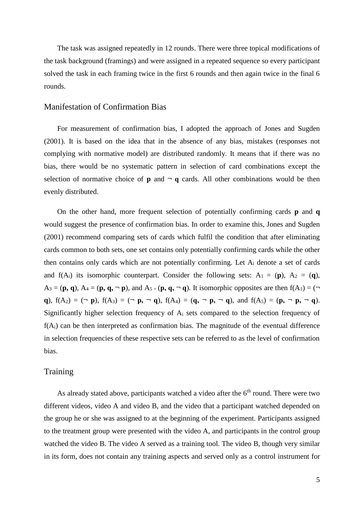The task was assigned repeatedly in 12 rounds. There were three topical modifications of the task background (framings) and were assigned in a repeated sequence so every participant solved the task in each framing twice in the first 6 rounds and then again twice in the final 6 rounds.

#### Manifestation of Confirmation Bias

For measurement of confirmation bias, I adopted the approach of Jones and Sugden (2001). It is based on the idea that in the absence of any bias, mistakes (responses not complying with normative model) are distributed randomly. It means that if there was no bias, there would be no systematic pattern in selection of card combinations except the selection of normative choice of  $p$  and  $\neg$  q cards. All other combinations would be then evenly distributed.

On the other hand, more frequent selection of potentially confirming cards **p** and **q** would suggest the presence of confirmation bias. In order to examine this, Jones and Sugden (2001) recommend comparing sets of cards which fulfil the condition that after eliminating cards common to both sets, one set contains only potentially confirming cards while the other then contains only cards which are not potentially confirming. Let A<sup>i</sup> denote a set of cards and  $f(A_i)$  its isomorphic counterpart. Consider the following sets:  $A_1 = (p)$ ,  $A_2 = (q)$ ,  $A_3 = (\mathbf{p}, \mathbf{q})$ ,  $A_4 = (\mathbf{p}, \mathbf{q}, \neg \mathbf{p})$ , and  $A_5 = (\mathbf{p}, \mathbf{q}, \neg \mathbf{q})$ . It isomorphic opposites are then  $f(A_1) = (\neg \mathbf{p}, \mathbf{q})$ **q**),  $f(A_2) = (\neg p)$ ,  $f(A_3) = (\neg p, \neg q)$ ,  $f(A_4) = (q, \neg p, \neg q)$ , and  $f(A_5) = (p, \neg p, \neg q)$ . Significantly higher selection frequency of A<sup>i</sup> sets compared to the selection frequency of  $f(A_i)$  can be then interpreted as confirmation bias. The magnitude of the eventual difference in selection frequencies of these respective sets can be referred to as the level of confirmation bias.

#### **Training**

As already stated above, participants watched a video after the  $6<sup>th</sup>$  round. There were two different videos, video A and video B, and the video that a participant watched depended on the group he or she was assigned to at the beginning of the experiment. Participants assigned to the treatment group were presented with the video A, and participants in the control group watched the video B. The video A served as a training tool. The video B, though very similar in its form, does not contain any training aspects and served only as a control instrument for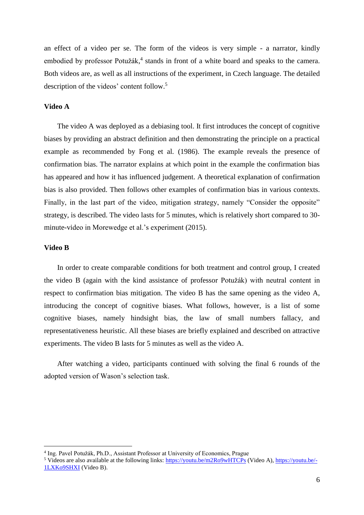an effect of a video per se. The form of the videos is very simple - a narrator, kindly embodied by professor Potužák,<sup>4</sup> stands in front of a white board and speaks to the camera. Both videos are, as well as all instructions of the experiment, in Czech language. The detailed description of the videos' content follow. 5

#### **Video A**

The video A was deployed as a debiasing tool. It first introduces the concept of cognitive biases by providing an abstract definition and then demonstrating the principle on a practical example as recommended by Fong et al. (1986). The example reveals the presence of confirmation bias. The narrator explains at which point in the example the confirmation bias has appeared and how it has influenced judgement. A theoretical explanation of confirmation bias is also provided. Then follows other examples of confirmation bias in various contexts. Finally, in the last part of the video, mitigation strategy, namely "Consider the opposite" strategy, is described. The video lasts for 5 minutes, which is relatively short compared to 30 minute-video in Morewedge et al.'s experiment (2015).

#### **Video B**

<u>.</u>

In order to create comparable conditions for both treatment and control group, I created the video B (again with the kind assistance of professor Potužák) with neutral content in respect to confirmation bias mitigation. The video B has the same opening as the video A, introducing the concept of cognitive biases. What follows, however, is a list of some cognitive biases, namely hindsight bias, the law of small numbers fallacy, and representativeness heuristic. All these biases are briefly explained and described on attractive experiments. The video B lasts for 5 minutes as well as the video A.

After watching a video, participants continued with solving the final 6 rounds of the adopted version of Wason's selection task.

<sup>4</sup> Ing. Pavel Potužák, Ph.D., Assistant Professor at University of Economics, Prague

<sup>5</sup> Videos are also available at the following links:<https://youtu.be/m2Ro9wHTCPs> (Video A)[, https://youtu.be/-](https://youtu.be/-1LXKo9SHXI) [1LXKo9SHXI](https://youtu.be/-1LXKo9SHXI) (Video B).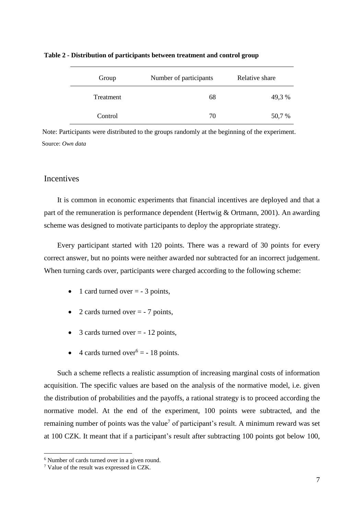| Group     | Number of participants | Relative share |
|-----------|------------------------|----------------|
| Treatment | 68                     | 49,3 %         |
| Control   | 70                     | 50,7 %         |

**Table 2 - Distribution of participants between treatment and control group**

Source: *Own data* Note: Participants were distributed to the groups randomly at the beginning of the experiment.

### **Incentives**

It is common in economic experiments that financial incentives are deployed and that a part of the remuneration is performance dependent (Hertwig & Ortmann, 2001). An awarding scheme was designed to motivate participants to deploy the appropriate strategy.

Every participant started with 120 points. There was a reward of 30 points for every correct answer, but no points were neither awarded nor subtracted for an incorrect judgement. When turning cards over, participants were charged according to the following scheme:

- $\bullet$  1 card turned over = -3 points.
- 2 cards turned over  $=$  7 points,
- $\bullet$  3 cards turned over = -12 points,
- $\bullet$  4 cards turned over<sup>6</sup> = 18 points.

Such a scheme reflects a realistic assumption of increasing marginal costs of information acquisition. The specific values are based on the analysis of the normative model, i.e. given the distribution of probabilities and the payoffs, a rational strategy is to proceed according the normative model. At the end of the experiment, 100 points were subtracted, and the remaining number of points was the value<sup>7</sup> of participant's result. A minimum reward was set at 100 CZK. It meant that if a participant's result after subtracting 100 points got below 100,

1

<sup>6</sup> Number of cards turned over in a given round.

<sup>7</sup> Value of the result was expressed in CZK.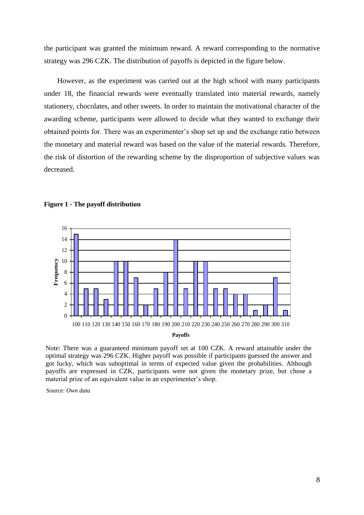the participant was granted the minimum reward. A reward corresponding to the normative strategy was 296 CZK. The distribution of payoffs is depicted in the figure below.

However, as the experiment was carried out at the high school with many participants under 18, the financial rewards were eventually translated into material rewards, namely stationery, chocolates, and other sweets. In order to maintain the motivational character of the awarding scheme, participants were allowed to decide what they wanted to exchange their obtained points for. There was an experimenter's shop set up and the exchange ratio between the monetary and material reward was based on the value of the material rewards. Therefore, the risk of distortion of the rewarding scheme by the disproportion of subjective values was decreased.



#### **Figure 1 - The payoff distribution**

Note: There was a guaranteed minimum payoff set at 100 CZK. A reward attainable under the optimal strategy was 296 CZK. Higher payoff was possible if participants guessed the answer and got lucky, which was suboptimal in terms of expected value given the probabilities. Although payoffs are expressed in CZK, participants were not given the monetary prize, but chose a material prize of an equivalent value in an experimenter's shop.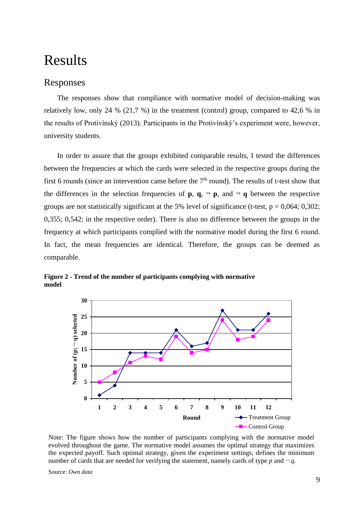## Results

### Responses

The responses show that compliance with normative model of decision-making was relatively low, only 24 % (21,7 %) in the treatment (control) group, compared to 42,6 % in the results of Protivínský (2013). Participants in the Protivínský's experiment were, however, university students.

In order to assure that the groups exhibited comparable results, I tested the differences between the frequencies at which the cards were selected in the respective groups during the first 6 rounds (since an intervention came before the  $7<sup>th</sup>$  round). The results of t-test show that the differences in the selection frequencies of **p**,  $q$ ,  $\neg$  **p**, and  $\neg$  **q** between the respective groups are not statistically significant at the 5% level of significance (t-test,  $p = 0.064$ ; 0,302; 0,355; 0,542; in the respective order). There is also no difference between the groups in the frequency at which participants complied with the normative model during the first 6 round. In fact, the mean frequencies are identical. Therefore, the groups can be deemed as comparable.



**Figure 2 - Trend of the number of participants complying with normative model**

Note: The figure shows how the number of participants complying with the normative model evolved throughout the game. The normative model assumes the optimal strategy that maximizes the expected payoff. Such optimal strategy, given the experiment settings, defines the minimum number of cards that are needed for verifying the statement, namely cards of type  $p$  and  $\neg q$ .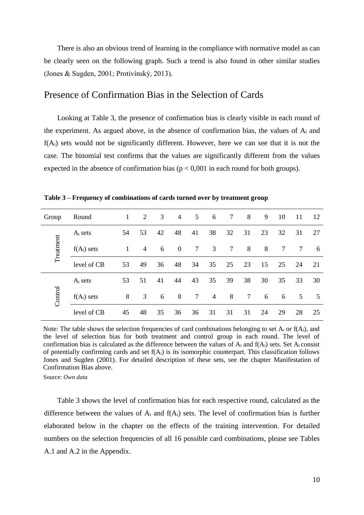There is also an obvious trend of learning in the compliance with normative model as can be clearly seen on the following graph. Such a trend is also found in other similar studies (Jones & Sugden, 2001; Protivínský, 2013).

### Presence of Confirmation Bias in the Selection of Cards

Looking at Table 3, the presence of confirmation bias is clearly visible in each round of the experiment. As argued above, in the absence of confirmation bias, the values of  $A_i$  and  $f(A_i)$  sets would not be significantly different. However, here we can see that it is not the case. The binomial test confirms that the values are significantly different from the values expected in the absence of confirmation bias ( $p < 0.001$  in each round for both groups).

| $C_{\rm{roun}}$<br>$\sqrt{110}$ | . |  |  |  |  |  |
|---------------------------------|---|--|--|--|--|--|

**Table 3 – Frequency of combinations of cards turned over by treatment group**

| Group     | Round         |    | 2  | 3  | $\overline{4}$ | 5      | 6              | $\overline{7}$ | 8  | 9  | 10 | 11 | 12 |
|-----------|---------------|----|----|----|----------------|--------|----------------|----------------|----|----|----|----|----|
| Treatment | $A_i$ sets    | 54 | 53 | 42 | 48             | 41     | 38             | 32             | 31 | 23 | 32 | 31 | 27 |
|           | $f(A_i)$ sets | 1  | 4  | 6  | $\overline{0}$ | 7      | 3              | 7              | 8  | 8  | 7  | 7  | 6  |
|           | level of CB   | 53 | 49 | 36 | 48             | 34     | 35             | 25             | 23 | 15 | 25 | 24 | 21 |
| Control   | $A_i$ sets    | 53 | 51 | 41 | 44             | 43     | 35             | 39             | 38 | 30 | 35 | 33 | 30 |
|           | $f(A_i)$ sets | 8  | 3  | 6  | 8              | $\tau$ | $\overline{4}$ | 8              | 7  | 6  | 6  | 5  | 5  |
|           | level of CB   | 45 | 48 | 35 | 36             | 36     | 31             | 31             | 31 | 24 | 29 | 28 | 25 |

Note: The table shows the selection frequencies of card combinations belonging to set  $A_i$  or  $f(A_i)$ , and the level of selection bias for both treatment and control group in each round. The level of confirmation bias is calculated as the difference between the values of  $A_i$  and  $f(A_i)$  sets. Set  $A_i$  consist of potentially confirming cards and set  $f(A_i)$  is its isomorphic counterpart. This classification follows Jones and Sugden (2001). For detailed description of these sets, see the chapter Manifestation of Confirmation Bias above.

Source: *Own data*

Table 3 shows the level of confirmation bias for each respective round, calculated as the difference between the values of  $A_i$  and  $f(A_i)$  sets. The level of confirmation bias is further elaborated below in the chapter on the effects of the training intervention. For detailed numbers on the selection frequencies of all 16 possible card combinations, please see Tables A.1 and A.2 in the Appendix.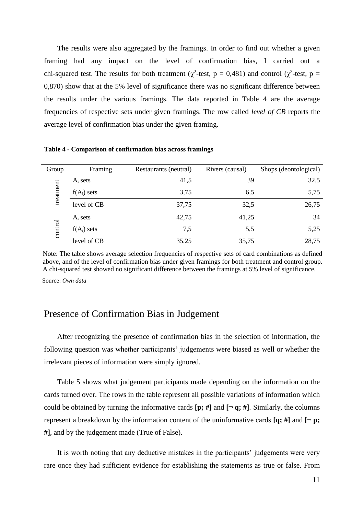The results were also aggregated by the framings. In order to find out whether a given framing had any impact on the level of confirmation bias, I carried out a chi-squared test. The results for both treatment ( $\chi^2$ -test, p = 0,481) and control ( $\chi^2$ -test, p = 0,870) show that at the 5% level of significance there was no significant difference between the results under the various framings. The data reported in Table 4 are the average frequencies of respective sets under given framings. The row called *level of CB* reports the average level of confirmation bias under the given framing.

| Group     | Framing       | Restaurants (neutral) | Rivers (causal) | Shops (deontological) |
|-----------|---------------|-----------------------|-----------------|-----------------------|
|           | $A_i$ sets    | 41,5                  | 39              | 32,5                  |
| treatment | $f(A_i)$ sets | 3,75                  | 6,5             | 5,75                  |
|           | level of CB   | 37,75                 | 32,5            | 26,75                 |
|           | $A_i$ sets    | 42,75                 | 41,25           | 34                    |
| control   | $f(A_i)$ sets | 7,5                   | 5,5             | 5,25                  |
|           | level of CB   | 35,25                 | 35,75           | 28,75                 |

**Table 4 - Comparison of confirmation bias across framings**

Note: The table shows average selection frequencies of respective sets of card combinations as defined above, and of the level of confirmation bias under given framings for both treatment and control group. A chi-squared test showed no significant difference between the framings at 5% level of significance.

Source: *Own data*

## Presence of Confirmation Bias in Judgement

After recognizing the presence of confirmation bias in the selection of information, the following question was whether participants' judgements were biased as well or whether the irrelevant pieces of information were simply ignored.

Table 5 shows what judgement participants made depending on the information on the cards turned over. The rows in the table represent all possible variations of information which could be obtained by turning the informative cards  $[\mathbf{p}; \#]$  and  $[\neg \mathbf{q}; \#]$ . Similarly, the columns represent a breakdown by the information content of the uninformative cards  $[q; #]$  and  $[\neg p;$ **#]**, and by the judgement made (True of False).

It is worth noting that any deductive mistakes in the participants' judgements were very rare once they had sufficient evidence for establishing the statements as true or false. From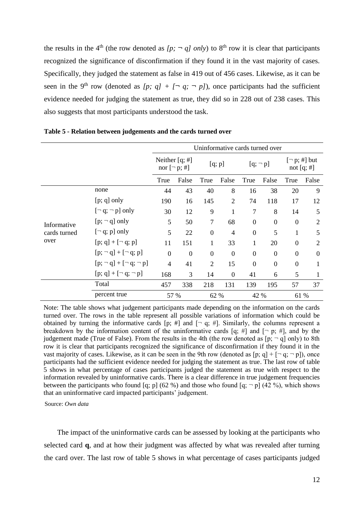the results in the 4<sup>th</sup> (the row denoted as  $[p; \neg q]$  only) to 8<sup>th</sup> row it is clear that participants recognized the significance of disconfirmation if they found it in the vast majority of cases. Specifically, they judged the statement as false in 419 out of 456 cases. Likewise, as it can be seen in the 9<sup>th</sup> row (denoted as  $[p; q] + [-q; -p]$ ), once participants had the sufficient evidence needed for judging the statement as true, they did so in 228 out of 238 cases. This also suggests that most participants understood the task.

|              |                                  | Uninformative cards turned over         |          |                |                |                  |                  |                                    |                |  |  |
|--------------|----------------------------------|-----------------------------------------|----------|----------------|----------------|------------------|------------------|------------------------------------|----------------|--|--|
|              |                                  | Neither $[q; \#]$<br>nor $[\neg p; \#]$ |          |                | [q; p]         |                  | $[q; \neg p]$    | $[\neg p; \#]$ but<br>not $[q; #]$ |                |  |  |
|              |                                  | True                                    | False    | True           | False          | True             | False            | True                               | False          |  |  |
|              | none                             | 44                                      | 43       | 40             | 8              | 16               | 38               | 20                                 | 9              |  |  |
|              | $[p; q]$ only                    | 190                                     | 16       | 145            | 2              | 74               | 118              | 17                                 | 12             |  |  |
|              | $[\neg q; \neg p]$ only          | 30                                      | 12       | 9              | 1              | $\overline{7}$   | 8                | 14                                 | 5              |  |  |
| Informative  | $[p; \neg q]$ only               | 5                                       | 50       | $\tau$         | 68             | $\mathbf{0}$     | $\boldsymbol{0}$ | $\boldsymbol{0}$                   | $\overline{2}$ |  |  |
| cards turned | $[\neg q; p]$ only               | 5                                       | 22       | $\overline{0}$ | $\overline{4}$ | $\boldsymbol{0}$ | 5                | 1                                  | 5              |  |  |
| over         | $[p; q] + [\neg q; p]$           | 11                                      | 151      | 1              | 33             | 1                | 20               | $\boldsymbol{0}$                   | $\overline{2}$ |  |  |
|              | $[p; \neg q] + [\neg q; p]$      | $\overline{0}$                          | $\theta$ | $\overline{0}$ | $\Omega$       | $\theta$         | $\overline{0}$   | $\theta$                           | $\Omega$       |  |  |
|              | $[p; \neg q] + [\neg q; \neg p]$ | $\overline{4}$                          | 41       | $\overline{2}$ | 15             | $\mathbf{0}$     | $\mathbf{0}$     | $\boldsymbol{0}$                   | 1              |  |  |
|              | $[p; q] + [\neg q; \neg p]$      | 168                                     | 3        | 14             | $\overline{0}$ | 41               | 6                | 5                                  | 1              |  |  |
|              | Total                            | 457                                     | 338      | 218            | 131            | 139              | 195              | 57                                 | 37             |  |  |
|              | percent true                     | 57 %                                    |          | 62 %           |                | 42 %             |                  | 61 %                               |                |  |  |

**Table 5 - Relation between judgements and the cards turned over**

Note: The table shows what judgement participants made depending on the information on the cards turned over. The rows in the table represent all possible variations of information which could be obtained by turning the informative cards [p; #] and  $[- q; #]$ . Similarly, the columns represent a breakdown by the information content of the uninformative cards [q; #] and  $[\neg p; #]$ , and by the judgement made (True of False). From the results in the 4th (the row denoted as  $[p; - q]$  only) to 8th row it is clear that participants recognized the significance of disconfirmation if they found it in the vast majority of cases. Likewise, as it can be seen in the 9th row (denoted as  $[p; q] + [\neg q; \neg p]$ ), once participants had the sufficient evidence needed for judging the statement as true. The last row of table 5 shows in what percentage of cases participants judged the statement as true with respect to the information revealed by uninformative cards. There is a clear difference in true judgement frequencies between the participants who found [q; p] (62 %) and those who found  $[q; -p]$  (42 %), which shows that an uninformative card impacted participants' judgement.

Source: *Own data*

The impact of the uninformative cards can be assessed by looking at the participants who selected card **q**, and at how their judgment was affected by what was revealed after turning the card over. The last row of table 5 shows in what percentage of cases participants judged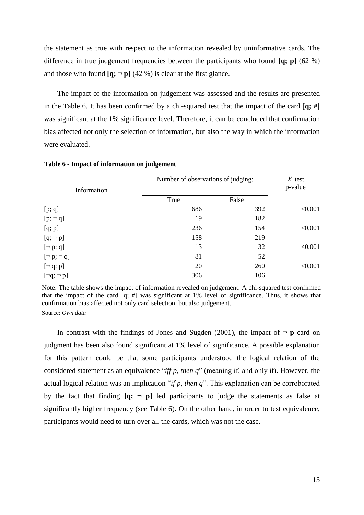the statement as true with respect to the information revealed by uninformative cards. The difference in true judgement frequencies between the participants who found **[q; p]** (62 %) and those who found  $[q; -p]$  (42 %) is clear at the first glance.

The impact of the information on judgement was assessed and the results are presented in the Table 6. It has been confirmed by a chi-squared test that the impact of the card [**q; #]**  was significant at the 1% significance level. Therefore, it can be concluded that confirmation bias affected not only the selection of information, but also the way in which the information were evaluated.

| Information        | Number of observations of judging: | $X^2$ test<br>p-value |         |
|--------------------|------------------------------------|-----------------------|---------|
|                    | True                               | False                 |         |
| [p; q]             | 686                                | 392                   | < 0,001 |
| $[p; \neg q]$      | 19                                 | 182                   |         |
| [q; p]             | 236                                | 154                   | < 0,001 |
| $[q; \neg p]$      | 158                                | 219                   |         |
| $[\neg p; q]$      | 13                                 | 32                    | < 0,001 |
| $[\neg p; \neg q]$ | 81                                 | 52                    |         |
| $[\neg q; p]$      | 20                                 | 260                   | < 0,001 |
| $[\neg q; \neg p]$ | 306                                | 106                   |         |

**Table 6 - Impact of information on judgement**

Source: *Own data* Note: The table shows the impact of information revealed on judgement. A chi-squared test confirmed that the impact of the card [q; #] was significant at 1% level of significance. Thus, it shows that confirmation bias affected not only card selection, but also judgement.

In contrast with the findings of Jones and Sugden (2001), the impact of  $\neg$  **p** card on judgment has been also found significant at 1% level of significance. A possible explanation for this pattern could be that some participants understood the logical relation of the considered statement as an equivalence "*iff p, then q*" (meaning if, and only if). However, the actual logical relation was an implication "*if p, then q*". This explanation can be corroborated by the fact that finding  $[q; - p]$  led participants to judge the statements as false at significantly higher frequency (see Table 6). On the other hand, in order to test equivalence, participants would need to turn over all the cards, which was not the case.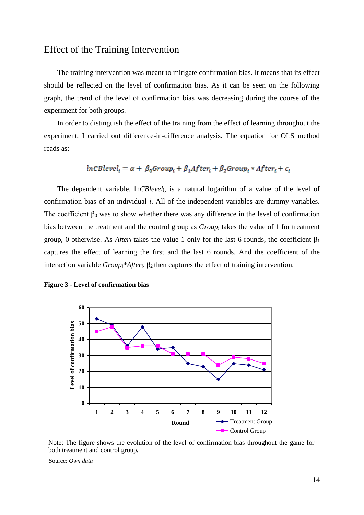### Effect of the Training Intervention

The training intervention was meant to mitigate confirmation bias. It means that its effect should be reflected on the level of confirmation bias. As it can be seen on the following graph, the trend of the level of confirmation bias was decreasing during the course of the experiment for both groups.

In order to distinguish the effect of the training from the effect of learning throughout the experiment, I carried out difference-in-difference analysis. The equation for OLS method reads as:

$$
lnCBlevel_i = \alpha + \beta_0 Group_i + \beta_1 After_i + \beta_2 Group_i * After_i + \epsilon_i
$$

The dependent variable, ln*CBlevel*i, is a natural logarithm of a value of the level of confirmation bias of an individual *i*. All of the independent variables are dummy variables. The coefficient  $\beta_0$  was to show whether there was any difference in the level of confirmation bias between the treatment and the control group as *Group<sup>i</sup>* takes the value of 1 for treatment group, 0 otherwise. As *After<sub>i</sub>* takes the value 1 only for the last 6 rounds, the coefficient  $\beta_1$ captures the effect of learning the first and the last 6 rounds. And the coefficient of the interaction variable  $Group_i^*After_i$ ,  $\beta_2$  then captures the effect of training intervention.





Note: The figure shows the evolution of the level of confirmation bias throughout the game for both treatment and control group*.*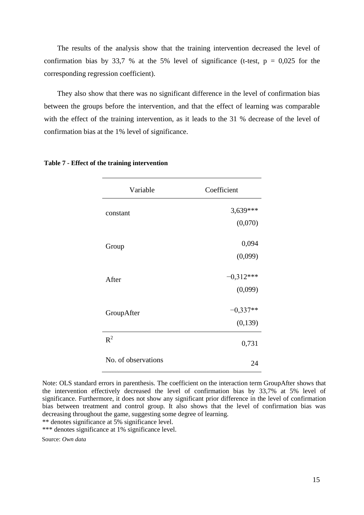The results of the analysis show that the training intervention decreased the level of confirmation bias by 33,7 % at the 5% level of significance (t-test,  $p = 0.025$  for the corresponding regression coefficient).

They also show that there was no significant difference in the level of confirmation bias between the groups before the intervention, and that the effect of learning was comparable with the effect of the training intervention, as it leads to the 31 % decrease of the level of confirmation bias at the 1% level of significance.

| Variable            | Coefficient |
|---------------------|-------------|
| constant            | $3,639***$  |
|                     | (0,070)     |
| Group               | 0,094       |
|                     | (0,099)     |
| After               | $-0.312***$ |
|                     | (0,099)     |
| GroupAfter          | $-0,337**$  |
|                     | (0, 139)    |
| $\mathbb{R}^2$      | 0,731       |
| No. of observations | 24          |

#### **Table 7 - Effect of the training intervention**

Note: OLS standard errors in parenthesis. The coefficient on the interaction term GroupAfter shows that the intervention effectively decreased the level of confirmation bias by 33,7% at 5% level of significance. Furthermore, it does not show any significant prior difference in the level of confirmation bias between treatment and control group. It also shows that the level of confirmation bias was decreasing throughout the game, suggesting some degree of learning.

\*\* denotes significance at 5% significance level.

\*\*\* denotes significance at 1% significance level.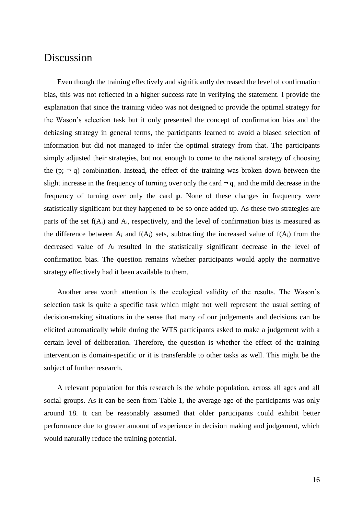## Discussion

Even though the training effectively and significantly decreased the level of confirmation bias, this was not reflected in a higher success rate in verifying the statement. I provide the explanation that since the training video was not designed to provide the optimal strategy for the Wason's selection task but it only presented the concept of confirmation bias and the debiasing strategy in general terms, the participants learned to avoid a biased selection of information but did not managed to infer the optimal strategy from that. The participants simply adjusted their strategies, but not enough to come to the rational strategy of choosing the  $(p; - q)$  combination. Instead, the effect of the training was broken down between the slight increase in the frequency of turning over only the card  $\neg q$ , and the mild decrease in the frequency of turning over only the card **p**. None of these changes in frequency were statistically significant but they happened to be so once added up. As these two strategies are parts of the set  $f(A_i)$  and  $A_i$ , respectively, and the level of confirmation bias is measured as the difference between  $A_i$  and  $f(A_i)$  sets, subtracting the increased value of  $f(A_i)$  from the decreased value of Ai resulted in the statistically significant decrease in the level of confirmation bias. The question remains whether participants would apply the normative strategy effectively had it been available to them.

Another area worth attention is the ecological validity of the results. The Wason's selection task is quite a specific task which might not well represent the usual setting of decision-making situations in the sense that many of our judgements and decisions can be elicited automatically while during the WTS participants asked to make a judgement with a certain level of deliberation. Therefore, the question is whether the effect of the training intervention is domain-specific or it is transferable to other tasks as well. This might be the subject of further research.

A relevant population for this research is the whole population, across all ages and all social groups. As it can be seen from Table 1, the average age of the participants was only around 18. It can be reasonably assumed that older participants could exhibit better performance due to greater amount of experience in decision making and judgement, which would naturally reduce the training potential.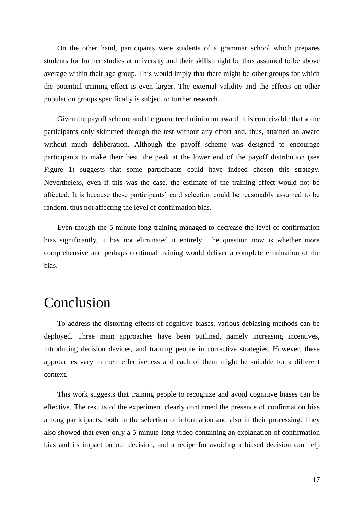On the other hand, participants were students of a grammar school which prepares students for further studies at university and their skills might be thus assumed to be above average within their age group. This would imply that there might be other groups for which the potential training effect is even larger. The external validity and the effects on other population groups specifically is subject to further research.

Given the payoff scheme and the guaranteed minimum award, it is conceivable that some participants only skimmed through the test without any effort and, thus, attained an award without much deliberation. Although the payoff scheme was designed to encourage participants to make their best, the peak at the lower end of the payoff distribution (see Figure 1) suggests that some participants could have indeed chosen this strategy. Nevertheless, even if this was the case, the estimate of the training effect would not be affected. It is because these participants' card selection could be reasonably assumed to be random, thus not affecting the level of confirmation bias.

Even though the 5-minute-long training managed to decrease the level of confirmation bias significantly, it has not eliminated it entirely. The question now is whether more comprehensive and perhaps continual training would deliver a complete elimination of the bias.

## Conclusion

To address the distorting effects of cognitive biases, various debiasing methods can be deployed. Three main approaches have been outlined, namely increasing incentives, introducing decision devices, and training people in corrective strategies. However, these approaches vary in their effectiveness and each of them might be suitable for a different context.

This work suggests that training people to recognize and avoid cognitive biases can be effective. The results of the experiment clearly confirmed the presence of confirmation bias among participants, both in the selection of information and also in their processing. They also showed that even only a 5-minute-long video containing an explanation of confirmation bias and its impact on our decision, and a recipe for avoiding a biased decision can help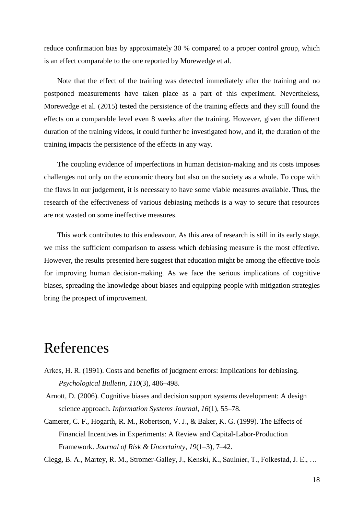reduce confirmation bias by approximately 30 % compared to a proper control group, which is an effect comparable to the one reported by Morewedge et al.

Note that the effect of the training was detected immediately after the training and no postponed measurements have taken place as a part of this experiment. Nevertheless, Morewedge et al. (2015) tested the persistence of the training effects and they still found the effects on a comparable level even 8 weeks after the training. However, given the different duration of the training videos, it could further be investigated how, and if, the duration of the training impacts the persistence of the effects in any way.

The coupling evidence of imperfections in human decision-making and its costs imposes challenges not only on the economic theory but also on the society as a whole. To cope with the flaws in our judgement, it is necessary to have some viable measures available. Thus, the research of the effectiveness of various debiasing methods is a way to secure that resources are not wasted on some ineffective measures.

This work contributes to this endeavour. As this area of research is still in its early stage, we miss the sufficient comparison to assess which debiasing measure is the most effective. However, the results presented here suggest that education might be among the effective tools for improving human decision-making. As we face the serious implications of cognitive biases, spreading the knowledge about biases and equipping people with mitigation strategies bring the prospect of improvement.

## References

- Arkes, H. R. (1991). Costs and benefits of judgment errors: Implications for debiasing. *Psychological Bulletin*, *110*(3), 486–498.
- Arnott, D. (2006). Cognitive biases and decision support systems development: A design science approach. *Information Systems Journal*, *16*(1), 55–78.
- Camerer, C. F., Hogarth, R. M., Robertson, V. J., & Baker, K. G. (1999). The Effects of Financial Incentives in Experiments: A Review and Capital-Labor-Production Framework. *Journal of Risk & Uncertainty*, *19*(1–3), 7–42.
- Clegg, B. A., Martey, R. M., Stromer-Galley, J., Kenski, K., Saulnier, T., Folkestad, J. E., …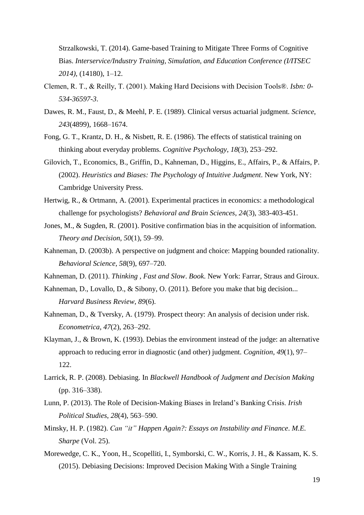Strzalkowski, T. (2014). Game-based Training to Mitigate Three Forms of Cognitive Bias. *Interservice/Industry Training, Simulation, and Education Conference (I/ITSEC 2014)*, (14180), 1–12.

- Clemen, R. T., & Reilly, T. (2001). Making Hard Decisions with Decision Tools®. *Isbn: 0- 534-36597-3*.
- Dawes, R. M., Faust, D., & Meehl, P. E. (1989). Clinical versus actuarial judgment. *Science*, *243*(4899), 1668–1674.
- Fong, G. T., Krantz, D. H., & Nisbett, R. E. (1986). The effects of statistical training on thinking about everyday problems. *Cognitive Psychology*, *18*(3), 253–292.
- Gilovich, T., Economics, B., Griffin, D., Kahneman, D., Higgins, E., Affairs, P., & Affairs, P. (2002). *Heuristics and Biases: The Psychology of Intuitive Judgment*. New York, NY: Cambridge University Press.
- Hertwig, R., & Ortmann, A. (2001). Experimental practices in economics: a methodological challenge for psychologists? *Behavioral and Brain Sciences*, *24*(3), 383-403-451.
- Jones, M., & Sugden, R. (2001). Positive confirmation bias in the acquisition of information. *Theory and Decision*, *50*(1), 59–99.
- Kahneman, D. (2003b). A perspective on judgment and choice: Mapping bounded rationality. *Behavioral Science*, *58*(9), 697–720.
- Kahneman, D. (2011). *Thinking , Fast and Slow*. *Book*. New York: Farrar, Straus and Giroux.
- Kahneman, D., Lovallo, D., & Sibony, O. (2011). Before you make that big decision... *Harvard Business Review*, *89*(6).
- Kahneman, D., & Tversky, A. (1979). Prospect theory: An analysis of decision under risk. *Econometrica*, *47*(2), 263–292.
- Klayman, J., & Brown, K. (1993). Debias the environment instead of the judge: an alternative approach to reducing error in diagnostic (and other) judgment. *Cognition*, *49*(1), 97– 122.
- Larrick, R. P. (2008). Debiasing. In *Blackwell Handbook of Judgment and Decision Making* (pp. 316–338).
- Lunn, P. (2013). The Role of Decision-Making Biases in Ireland's Banking Crisis. *Irish Political Studies*, *28*(4), 563–590.
- Minsky, H. P. (1982). *Can "it" Happen Again?: Essays on Instability and Finance*. *M.E. Sharpe* (Vol. 25).
- Morewedge, C. K., Yoon, H., Scopelliti, I., Symborski, C. W., Korris, J. H., & Kassam, K. S. (2015). Debiasing Decisions: Improved Decision Making With a Single Training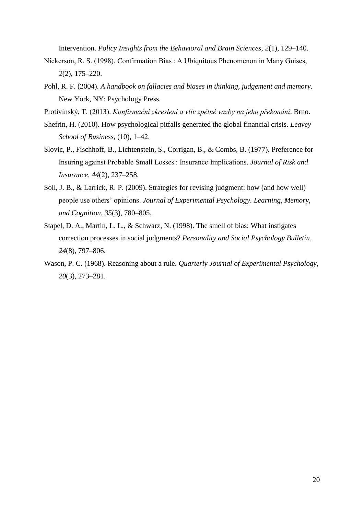Intervention. *Policy Insights from the Behavioral and Brain Sciences*, *2*(1), 129–140.

- Nickerson, R. S. (1998). Confirmation Bias : A Ubiquitous Phenomenon in Many Guises, *2*(2), 175–220.
- Pohl, R. F. (2004). *A handbook on fallacies and biases in thinking, judgement and memory*. New York, NY: Psychology Press.
- Protivínský, T. (2013). *Konfirmační zkreslení a vliv zpětné vazby na jeho překonání*. Brno.
- Shefrin, H. (2010). How psychological pitfalls generated the global financial crisis. *Leavey School of Business*, (10), 1–42.
- Slovic, P., Fischhoff, B., Lichtenstein, S., Corrigan, B., & Combs, B. (1977). Preference for Insuring against Probable Small Losses : Insurance Implications. *Journal of Risk and Insurance*, *44*(2), 237–258.
- Soll, J. B., & Larrick, R. P. (2009). Strategies for revising judgment: how (and how well) people use others' opinions. *Journal of Experimental Psychology. Learning, Memory, and Cognition*, *35*(3), 780–805.
- Stapel, D. A., Martin, L. L., & Schwarz, N. (1998). The smell of bias: What instigates correction processes in social judgments? *Personality and Social Psychology Bulletin*, *24*(8), 797–806.
- Wason, P. C. (1968). Reasoning about a rule. *Quarterly Journal of Experimental Psychology*, *20*(3), 273–281.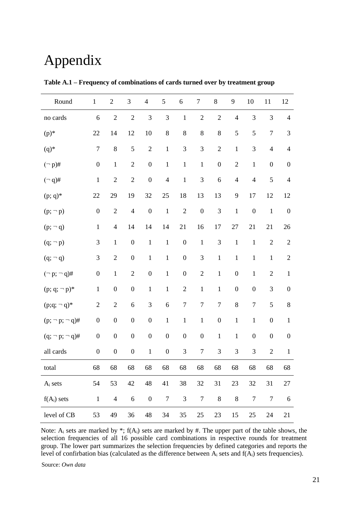# Appendix

| Round                | $\mathbf 1$      | $\mathbf{2}$     | 3                | $\overline{4}$   | 5                | $\sqrt{6}$       | $\boldsymbol{7}$ | $8\,$            | 9                | 10               | 11               | 12               |
|----------------------|------------------|------------------|------------------|------------------|------------------|------------------|------------------|------------------|------------------|------------------|------------------|------------------|
| no cards             | $\sqrt{6}$       | $\overline{2}$   | $\sqrt{2}$       | $\mathfrak{Z}$   | 3                | $\mathbf 1$      | $\overline{2}$   | $\overline{2}$   | $\overline{4}$   | 3                | 3                | $\overline{4}$   |
| $(p)$ *              | 22               | 14               | 12               | 10               | $8\,$            | $\,8\,$          | $8\,$            | $8\,$            | 5                | 5                | $\boldsymbol{7}$ | 3                |
| $(q)$ *              | $\boldsymbol{7}$ | $8\,$            | 5                | $\sqrt{2}$       | $\,1$            | $\mathfrak 3$    | 3                | $\overline{2}$   | $\,1$            | $\mathfrak{Z}$   | $\overline{4}$   | $\overline{4}$   |
| $(\neg p)$ #         | $\boldsymbol{0}$ | $\mathbf{1}$     | $\sqrt{2}$       | $\boldsymbol{0}$ | $\,1\,$          | $\,1$            | $\mathbf 1$      | $\boldsymbol{0}$ | $\sqrt{2}$       | $\,1$            | $\boldsymbol{0}$ | $\boldsymbol{0}$ |
| $(\neg q)$ #         | $\,1$            | $\mathbf{2}$     | $\overline{2}$   | $\boldsymbol{0}$ | $\overline{4}$   | $\,1\,$          | $\mathfrak{Z}$   | 6                | $\overline{4}$   | $\overline{4}$   | 5                | $\overline{4}$   |
| $(p; q)^*$           | 22               | 29               | 19               | 32               | 25               | 18               | 13               | 13               | 9                | 17               | 12               | 12               |
| $(p; -p)$            | $\boldsymbol{0}$ | $\mathbf{2}$     | $\overline{4}$   | $\boldsymbol{0}$ | $\mathbf{1}$     | $\sqrt{2}$       | $\boldsymbol{0}$ | $\mathfrak{Z}$   | $\mathbf{1}$     | $\boldsymbol{0}$ | $\mathbf{1}$     | $\boldsymbol{0}$ |
| $(p; -q)$            | $\mathbf{1}$     | $\overline{4}$   | 14               | 14               | 14               | 21               | 16               | 17               | 27               | 21               | 21               | 26               |
| $(q; -p)$            | $\mathfrak 3$    | $\mathbf{1}$     | $\boldsymbol{0}$ | $\,1$            | $\,1$            | $\boldsymbol{0}$ | $\mathbf 1$      | $\mathfrak{Z}$   | $\mathbf{1}$     | $\mathbf{1}$     | $\overline{2}$   | $\overline{2}$   |
| $(q; \neg q)$        | $\mathfrak{Z}$   | $\mathbf{2}$     | $\boldsymbol{0}$ | $\,1$            | $\mathbf 1$      | $\boldsymbol{0}$ | $\mathfrak{Z}$   | $\mathbf 1$      | $\mathbf 1$      | $\mathbf{1}$     | $\mathbf 1$      | $\sqrt{2}$       |
| $(\neg p; \neg q)$ # | $\boldsymbol{0}$ | $\mathbf{1}$     | $\mathbf{2}$     | $\boldsymbol{0}$ | $\,1$            | $\boldsymbol{0}$ | $\mathbf{2}$     | $\,1\,$          | $\boldsymbol{0}$ | $\mathbf{1}$     | $\sqrt{2}$       | $\mathbf{1}$     |
| $(p; q; \neg p)^*$   | $\,1$            | $\boldsymbol{0}$ | $\boldsymbol{0}$ | $\,1$            | $\,1\,$          | $\sqrt{2}$       | $\,1$            | $\mathbf{1}$     | $\boldsymbol{0}$ | $\boldsymbol{0}$ | $\mathfrak{Z}$   | $\boldsymbol{0}$ |
| $(p;q; -q)^*$        | $\sqrt{2}$       | $\mathbf{2}$     | $\sqrt{6}$       | 3                | $\sqrt{6}$       | $\boldsymbol{7}$ | $\boldsymbol{7}$ | $\boldsymbol{7}$ | $\,8\,$          | $\boldsymbol{7}$ | 5                | $8\,$            |
| $(p; -p; -q)$ #      | $\boldsymbol{0}$ | $\boldsymbol{0}$ | $\boldsymbol{0}$ | $\boldsymbol{0}$ | $\,1$            | $\mathbf 1$      | $\mathbf 1$      | $\boldsymbol{0}$ | $\mathbf 1$      | $\mathbf{1}$     | $\boldsymbol{0}$ | $\mathbf{1}$     |
| $(q; -p; -q)$ #      | $\boldsymbol{0}$ | $\boldsymbol{0}$ | $\boldsymbol{0}$ | $\boldsymbol{0}$ | $\boldsymbol{0}$ | $\boldsymbol{0}$ | $\boldsymbol{0}$ | $\mathbf 1$      | $\mathbf 1$      | $\boldsymbol{0}$ | $\boldsymbol{0}$ | $\boldsymbol{0}$ |
| all cards            | $\boldsymbol{0}$ | $\boldsymbol{0}$ | $\boldsymbol{0}$ | $\mathbf 1$      | $\boldsymbol{0}$ | $\mathfrak{Z}$   | $\boldsymbol{7}$ | 3                | 3                | 3                | $\overline{2}$   | $\mathbf{1}$     |
| total                | 68               | 68               | 68               | 68               | 68               | 68               | 68               | 68               | 68               | 68               | 68               | 68               |
| $A_i$ sets           | 54               | 53               | 42               | 48               | 41               | 38               | $32\,$           | 31               | 23               | 32               | 31               | 27               |
| $f(A_i)$ sets        | $\mathbf{1}$     | $\overline{4}$   | $\sqrt{6}$       | $\boldsymbol{0}$ | $\boldsymbol{7}$ | $\mathfrak 3$    | $\boldsymbol{7}$ | $8\,$            | $\,8\,$          | $\tau$           | $\boldsymbol{7}$ | 6                |
| level of CB          | 53               | 49               | 36               | 48               | 34               | 35               | 25               | 23               | 15               | 25               | 24               | 21               |

**Table A.1 – Frequency of combinations of cards turned over by treatment group**

Note:  $A_i$  sets are marked by \*;  $f(A_i)$  sets are marked by #. The upper part of the table shows, the selection frequencies of all 16 possible card combinations in respective rounds for treatment group. The lower part summarizes the selection frequencies by defined categories and reports the level of confirbation bias (calculated as the difference between  $A_i$  sets and  $f(A_i)$  sets frequencies).